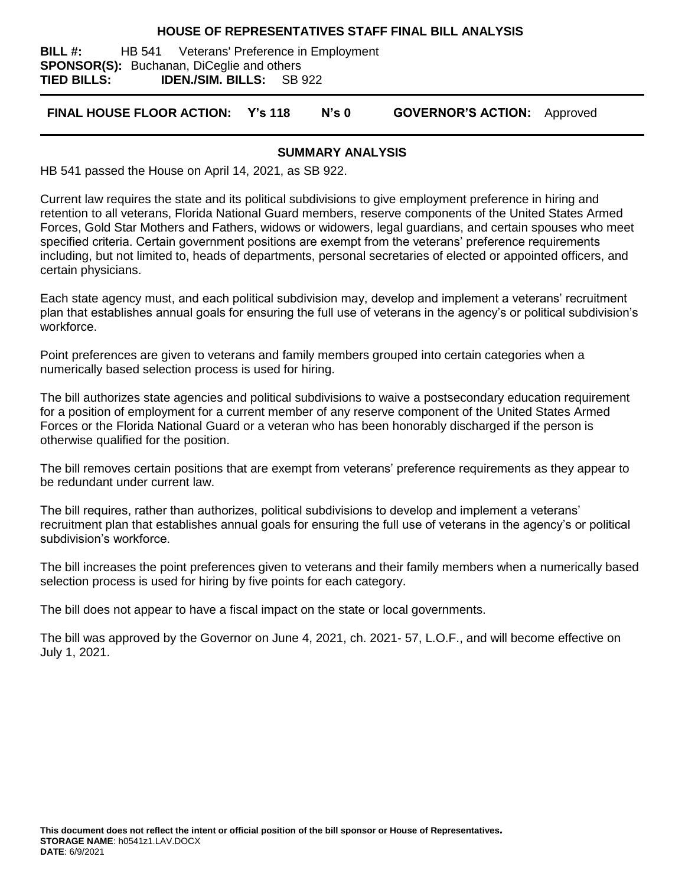#### **HOUSE OF REPRESENTATIVES STAFF FINAL BILL ANALYSIS**

**BILL #:** HB 541 Veterans' Preference in Employment **SPONSOR(S):** Buchanan, DiCeglie and others **TIED BILLS: IDEN./SIM. BILLS:** SB 922

**FINAL HOUSE FLOOR ACTION: Y's 118 N's 0 GOVERNOR'S ACTION:** Approved

#### **SUMMARY ANALYSIS**

HB 541 passed the House on April 14, 2021, as SB 922.

Current law requires the state and its political subdivisions to give employment preference in hiring and retention to all veterans, Florida National Guard members, reserve components of the United States Armed Forces, Gold Star Mothers and Fathers, widows or widowers, legal guardians, and certain spouses who meet specified criteria. Certain government positions are exempt from the veterans' preference requirements including, but not limited to, heads of departments, personal secretaries of elected or appointed officers, and certain physicians.

Each state agency must, and each political subdivision may, develop and implement a veterans' recruitment plan that establishes annual goals for ensuring the full use of veterans in the agency's or political subdivision's workforce.

Point preferences are given to veterans and family members grouped into certain categories when a numerically based selection process is used for hiring.

The bill authorizes state agencies and political subdivisions to waive a postsecondary education requirement for a position of employment for a current member of any reserve component of the United States Armed Forces or the Florida National Guard or a veteran who has been honorably discharged if the person is otherwise qualified for the position.

The bill removes certain positions that are exempt from veterans' preference requirements as they appear to be redundant under current law.

The bill requires, rather than authorizes, political subdivisions to develop and implement a veterans' recruitment plan that establishes annual goals for ensuring the full use of veterans in the agency's or political subdivision's workforce.

The bill increases the point preferences given to veterans and their family members when a numerically based selection process is used for hiring by five points for each category.

The bill does not appear to have a fiscal impact on the state or local governments.

The bill was approved by the Governor on June 4, 2021, ch. 2021- 57, L.O.F., and will become effective on July 1, 2021.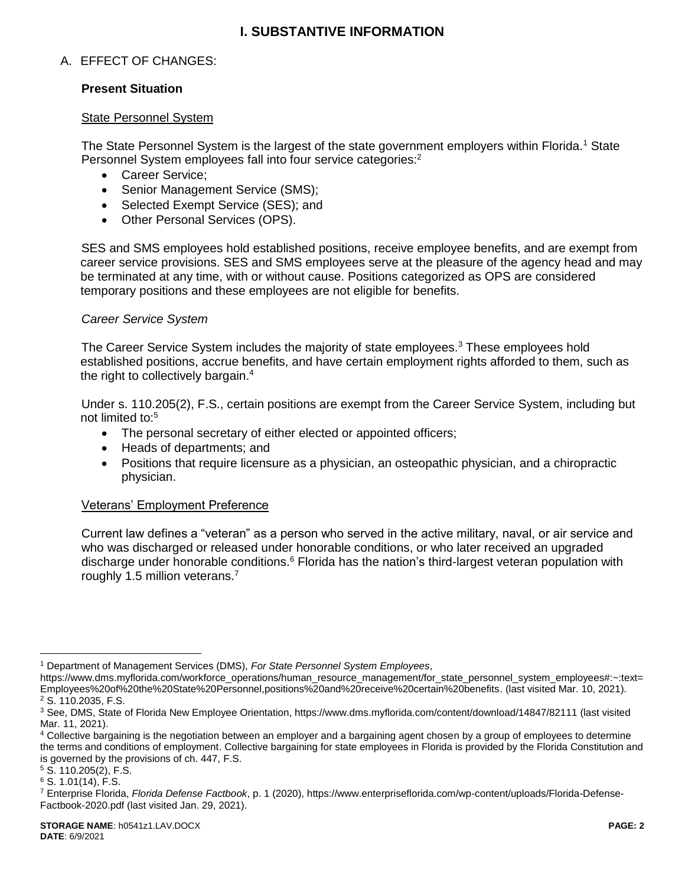## **I. SUBSTANTIVE INFORMATION**

## A. EFFECT OF CHANGES:

### **Present Situation**

#### State Personnel System

The State Personnel System is the largest of the state government employers within Florida.<sup>1</sup> State Personnel System employees fall into four service categories:<sup>2</sup>

- Career Service;
- Senior Management Service (SMS);
- Selected Exempt Service (SES); and
- [Other Personal Services](http://www.dms.myflorida.com/workforce_operations/human_resource_management/for_other_personal_services_employment_ops) (OPS).

SES and SMS employees hold established positions, receive employee benefits, and are exempt from career service provisions. SES and SMS employees serve at the pleasure of the agency head and may be terminated at any time, with or without cause. Positions categorized as OPS are considered temporary positions and these employees are not eligible for benefits.

#### *Career Service System*

The Career Service System includes the majority of state employees.<sup>3</sup> These employees hold established positions, accrue benefits, and have certain employment rights afforded to them, such as the right to collectively bargain.<sup>4</sup>

Under s. 110.205(2), F.S., certain positions are exempt from the Career Service System, including but not limited to:<sup>5</sup>

- The personal secretary of either elected or appointed officers;
- Heads of departments; and
- Positions that require licensure as a physician, an osteopathic physician, and a chiropractic physician.

## Veterans' Employment Preference

Current law defines a "veteran" as a person who served in the active military, naval, or air service and who was discharged or released under honorable conditions, or who later received an upgraded discharge under honorable conditions.<sup>6</sup> Florida has the nation's third-largest veteran population with roughly 1.5 million veterans.<sup>7</sup>

<sup>5</sup> S. 110.205(2), F.S.

 $\overline{a}$ 

<sup>1</sup> Department of Management Services (DMS), *For State Personnel System Employees*,

https://www.dms.myflorida.com/workforce\_operations/human\_resource\_management/for\_state\_personnel\_system\_employees#:~:text= Employees%20of%20the%20State%20Personnel,positions%20and%20receive%20certain%20benefits. (last visited Mar. 10, 2021). <sup>2</sup> S. 110.2035, F.S.

<sup>3</sup> See, DMS, State of Florida New Employee Orientation, https://www.dms.myflorida.com/content/download/14847/82111 (last visited Mar. 11, 2021).

<sup>4</sup> Collective bargaining is the negotiation between an employer and a bargaining agent chosen by a group of employees to determine the terms and conditions of employment. Collective bargaining for state employees in Florida is provided by the Florida Constitution and is governed by the provisions of ch. 447, F.S.

<sup>6</sup> S. 1.01(14), F.S.

<sup>7</sup> Enterprise Florida, *Florida Defense Factbook*, p. 1 (2020), https://www.enterpriseflorida.com/wp-content/uploads/Florida-Defense-Factbook-2020.pdf (last visited Jan. 29, 2021).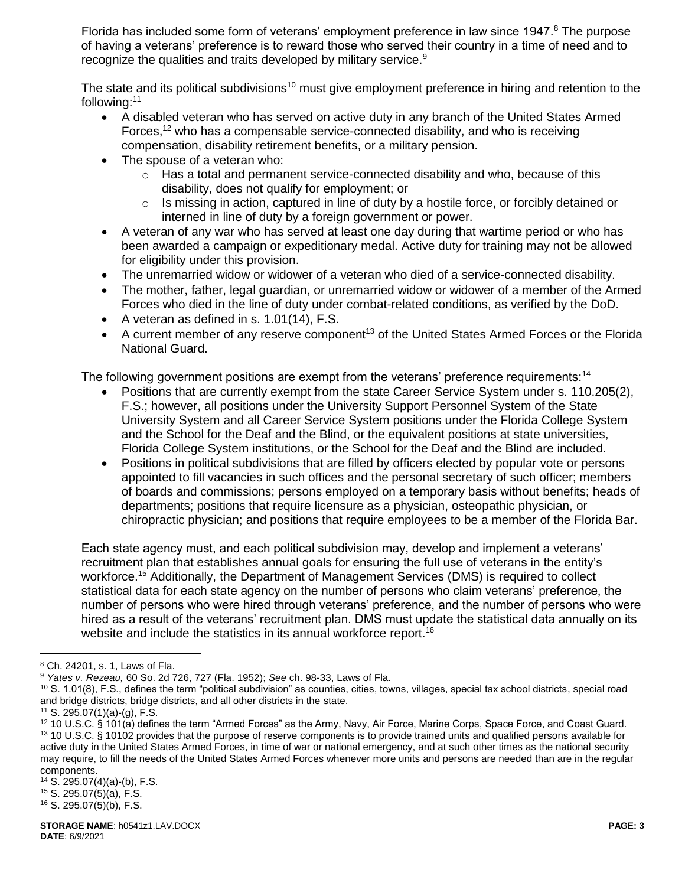Florida has included some form of veterans' employment preference in law since 1947.<sup>8</sup> The purpose of having a veterans' preference is to reward those who served their country in a time of need and to recognize the qualities and traits developed by military service.<sup>9</sup>

The state and its political subdivisions<sup>10</sup> must give employment preference in hiring and retention to the following:<sup>11</sup>

- A disabled veteran who has served on active duty in any branch of the United States Armed Forces,<sup>12</sup> who has a compensable service-connected disability, and who is receiving compensation, disability retirement benefits, or a military pension.
- The spouse of a veteran who:
	- $\circ$  Has a total and permanent service-connected disability and who, because of this disability, does not qualify for employment; or
	- o Is missing in action, captured in line of duty by a hostile force, or forcibly detained or interned in line of duty by a foreign government or power.
- A veteran of any war who has served at least one day during that wartime period or who has been awarded a campaign or expeditionary medal. Active duty for training may not be allowed for eligibility under this provision.
- The unremarried widow or widower of a veteran who died of a service-connected disability.
- The mother, father, legal guardian, or unremarried widow or widower of a member of the Armed Forces who died in the line of duty under combat-related conditions, as verified by the DoD.
- A veteran as defined in s.  $1.01(14)$ , F.S.
- A current member of any reserve component<sup>13</sup> of the United States Armed Forces or the Florida National Guard.

The following government positions are exempt from the veterans' preference requirements:<sup>14</sup>

- Positions that are currently exempt from the state Career Service System under s. 110.205(2), F.S.; however, all positions under the University Support Personnel System of the State University System and all Career Service System positions under the Florida College System and the School for the Deaf and the Blind, or the equivalent positions at state universities, Florida College System institutions, or the School for the Deaf and the Blind are included.
- Positions in political subdivisions that are filled by officers elected by popular vote or persons appointed to fill vacancies in such offices and the personal secretary of such officer; members of boards and commissions; persons employed on a temporary basis without benefits; heads of departments; positions that require licensure as a physician, osteopathic physician, or chiropractic physician; and positions that require employees to be a member of the Florida Bar.

Each state agency must, and each political subdivision may, develop and implement a veterans' recruitment plan that establishes annual goals for ensuring the full use of veterans in the entity's workforce.<sup>15</sup> Additionally, the Department of Management Services (DMS) is required to collect statistical data for each state agency on the number of persons who claim veterans' preference, the number of persons who were hired through veterans' preference, and the number of persons who were hired as a result of the veterans' recruitment plan. DMS must update the statistical data annually on its website and include the statistics in its annual workforce report.<sup>16</sup>

 $\overline{a}$ 

<sup>8</sup> Ch. 24201, s. 1, Laws of Fla.

<sup>9</sup> *Yates v. Rezeau,* 60 So. 2d 726, 727 (Fla. 1952); *See* ch. 98-33, Laws of Fla.

 $10$  S. 1.01(8), F.S., defines the term "political subdivision" as counties, cities, towns, villages, special tax school districts, special road and bridge districts, bridge districts, and all other districts in the state.

 $11$  S. 295.07(1)(a)-(g), F.S.

<sup>12</sup> 10 U.S.C. § 101(a) defines the term "Armed Forces" as the Army, Navy, Air Force, Marine Corps, Space Force, and Coast Guard. <sup>13</sup> 10 U.S.C. § 10102 provides that the purpose of reserve components is to provide trained units and qualified persons available for active duty in the United States Armed Forces, in time of war or national emergency, and at such other times as the national security may require, to fill the needs of the United States Armed Forces whenever more units and persons are needed than are in the regular components.

<sup>14</sup> S. 295.07(4)(a)-(b), F.S.

<sup>15</sup> S. 295.07(5)(a), F.S.

<sup>16</sup> S. 295.07(5)(b), F.S.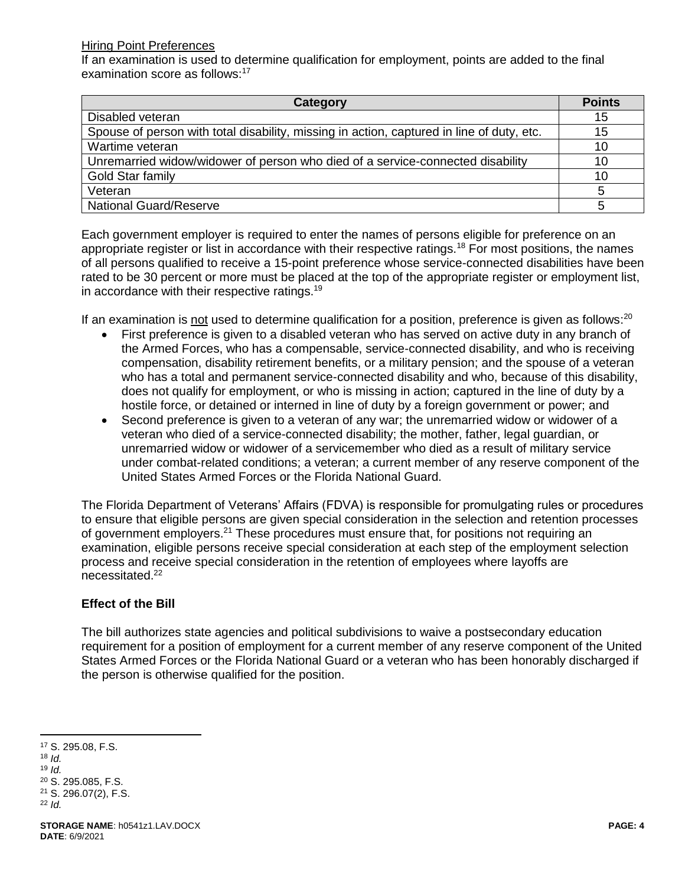#### Hiring Point Preferences

If an examination is used to determine qualification for employment, points are added to the final examination score as follows:<sup>17</sup>

| Category                                                                                  | <b>Points</b> |
|-------------------------------------------------------------------------------------------|---------------|
| Disabled veteran                                                                          | 15            |
| Spouse of person with total disability, missing in action, captured in line of duty, etc. | 15            |
| Wartime veteran                                                                           | 10            |
| Unremarried widow/widower of person who died of a service-connected disability            | 10            |
| Gold Star family                                                                          | 10            |
| Veteran                                                                                   |               |
| <b>National Guard/Reserve</b>                                                             |               |

Each government employer is required to enter the names of persons eligible for preference on an appropriate register or list in accordance with their respective ratings.<sup>18</sup> For most positions, the names of all persons qualified to receive a 15-point preference whose service-connected disabilities have been rated to be 30 percent or more must be placed at the top of the appropriate register or employment list, in accordance with their respective ratings.<sup>19</sup>

If an examination is not used to determine qualification for a position, preference is given as follows:<sup>20</sup>

- First preference is given to a disabled veteran who has served on active duty in any branch of the Armed Forces, who has a compensable, service-connected disability, and who is receiving compensation, disability retirement benefits, or a military pension; and the spouse of a veteran who has a total and permanent service-connected disability and who, because of this disability, does not qualify for employment, or who is missing in action; captured in the line of duty by a hostile force, or detained or interned in line of duty by a foreign government or power; and
- Second preference is given to a veteran of any war; the unremarried widow or widower of a veteran who died of a service-connected disability; the mother, father, legal guardian, or unremarried widow or widower of a servicemember who died as a result of military service under combat-related conditions; a veteran; a current member of any reserve component of the United States Armed Forces or the Florida National Guard.

The Florida Department of Veterans' Affairs (FDVA) is responsible for promulgating rules or procedures to ensure that eligible persons are given special consideration in the selection and retention processes of government employers.<sup>21</sup> These procedures must ensure that, for positions not requiring an examination, eligible persons receive special consideration at each step of the employment selection process and receive special consideration in the retention of employees where layoffs are necessitated.<sup>22</sup>

## **Effect of the Bill**

The bill authorizes state agencies and political subdivisions to waive a postsecondary education requirement for a position of employment for a current member of any reserve component of the United States Armed Forces or the Florida National Guard or a veteran who has been honorably discharged if the person is otherwise qualified for the position.

<sup>18</sup> *Id.*

 $\overline{a}$ 

<sup>19</sup> *Id.*

<sup>17</sup> S. 295.08, F.S.

<sup>20</sup> S. 295.085, F.S.

<sup>21</sup> S. 296.07(2), F.S.

<sup>22</sup> *Id.*